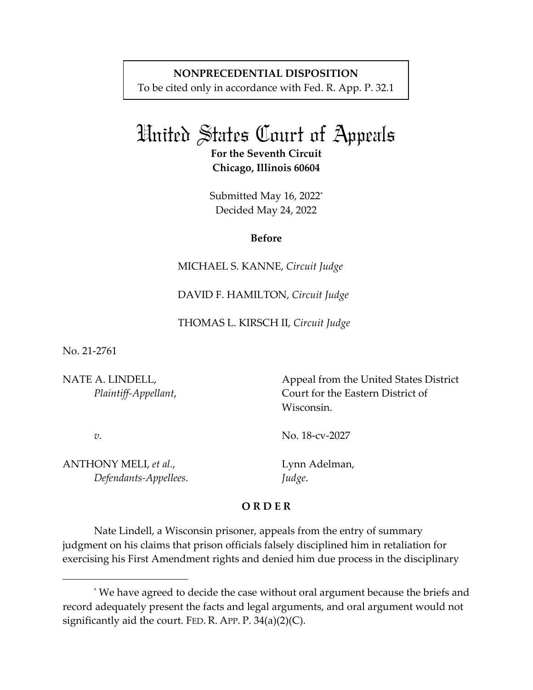# **NONPRECEDENTIAL DISPOSITION**

To be cited only in accordance with Fed. R. App. P. 32.1

# United States Court of Appeals

**For the Seventh Circuit Chicago, Illinois 60604** 

Submitted May 16, 2022<sup>\*</sup> Decided May 24, 2022

#### **Before**

MICHAEL S. KANNE, *Circuit Judge* 

DAVID F. HAMILTON, *Circuit Judge* 

THOMAS L. KIRSCH II, *Circuit Judge*

No. 21-2761

NATE A. LINDELL, *Plaintiff-Appellant*,

*v*.

Court for the Eastern District of Wisconsin.

Appeal from the United States District

No. 18-cv-2027

ANTHONY MELI, *et al.*,  *Defendants-Appellees*. Lynn Adelman, *Judge*.

## **O R D E R**

Nate Lindell, a Wisconsin prisoner, appeals from the entry of summary judgment on his claims that prison officials falsely disciplined him in retaliation for exercising his First Amendment rights and denied him due process in the disciplinary

<sup>\*</sup> We have agreed to decide the case without oral argument because the briefs and record adequately present the facts and legal arguments, and oral argument would not significantly aid the court. FED. R. APP.  $P. 34(a)(2)(C)$ .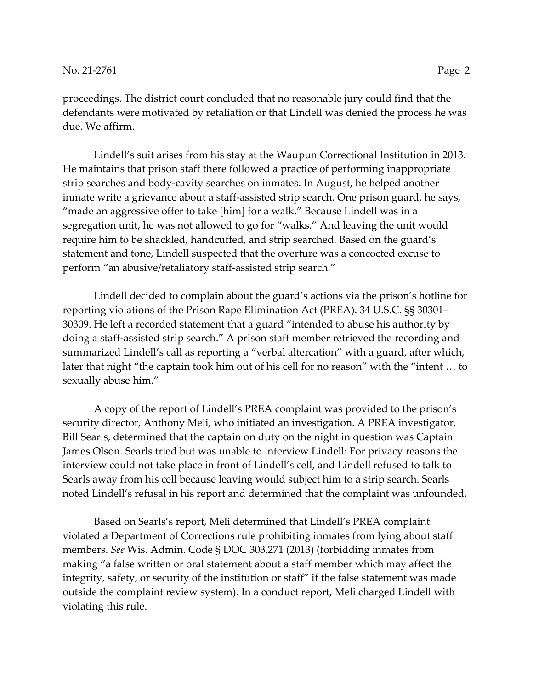proceedings. The district court concluded that no reasonable jury could find that the defendants were motivated by retaliation or that Lindell was denied the process he was due. We affirm.

Lindell's suit arises from his stay at the Waupun Correctional Institution in 2013. He maintains that prison staff there followed a practice of performing inappropriate strip searches and body-cavity searches on inmates. In August, he helped another inmate write a grievance about a staff-assisted strip search. One prison guard, he says, "made an aggressive offer to take [him] for a walk." Because Lindell was in a segregation unit, he was not allowed to go for "walks." And leaving the unit would require him to be shackled, handcuffed, and strip searched. Based on the guard's statement and tone, Lindell suspected that the overture was a concocted excuse to perform "an abusive/retaliatory staff-assisted strip search."

Lindell decided to complain about the guard's actions via the prison's hotline for reporting violations of the Prison Rape Elimination Act (PREA). 34 U.S.C. §§ 30301– 30309. He left a recorded statement that a guard "intended to abuse his authority by doing a staff-assisted strip search." A prison staff member retrieved the recording and summarized Lindell's call as reporting a "verbal altercation" with a guard, after which, later that night "the captain took him out of his cell for no reason" with the "intent … to sexually abuse him."

A copy of the report of Lindell's PREA complaint was provided to the prison's security director, Anthony Meli, who initiated an investigation. A PREA investigator, Bill Searls, determined that the captain on duty on the night in question was Captain James Olson. Searls tried but was unable to interview Lindell: For privacy reasons the interview could not take place in front of Lindell's cell, and Lindell refused to talk to Searls away from his cell because leaving would subject him to a strip search. Searls noted Lindell's refusal in his report and determined that the complaint was unfounded.

Based on Searls's report, Meli determined that Lindell's PREA complaint violated a Department of Corrections rule prohibiting inmates from lying about staff members. *See* Wis. Admin. Code § DOC 303.271 (2013) (forbidding inmates from making "a false written or oral statement about a staff member which may affect the integrity, safety, or security of the institution or staff" if the false statement was made outside the complaint review system). In a conduct report, Meli charged Lindell with violating this rule.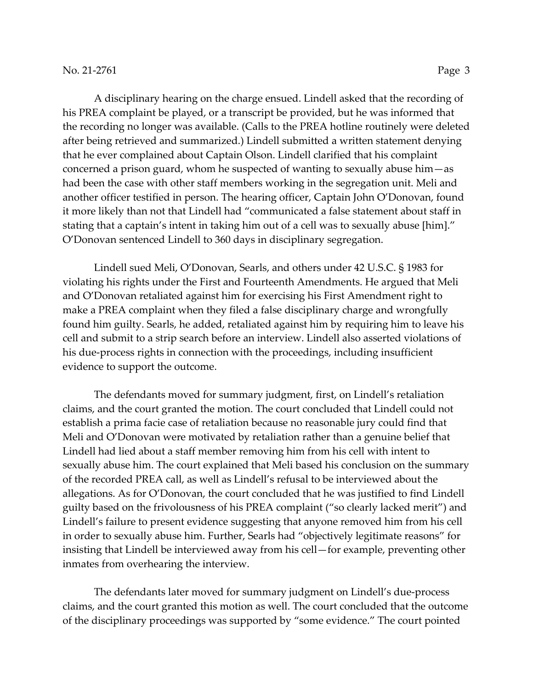A disciplinary hearing on the charge ensued. Lindell asked that the recording of his PREA complaint be played, or a transcript be provided, but he was informed that the recording no longer was available. (Calls to the PREA hotline routinely were deleted after being retrieved and summarized.) Lindell submitted a written statement denying that he ever complained about Captain Olson. Lindell clarified that his complaint concerned a prison guard, whom he suspected of wanting to sexually abuse him—as had been the case with other staff members working in the segregation unit. Meli and another officer testified in person. The hearing officer, Captain John O'Donovan, found it more likely than not that Lindell had "communicated a false statement about staff in stating that a captain's intent in taking him out of a cell was to sexually abuse [him]." O'Donovan sentenced Lindell to 360 days in disciplinary segregation.

Lindell sued Meli, O'Donovan, Searls, and others under 42 U.S.C. § 1983 for violating his rights under the First and Fourteenth Amendments. He argued that Meli and O'Donovan retaliated against him for exercising his First Amendment right to make a PREA complaint when they filed a false disciplinary charge and wrongfully found him guilty. Searls, he added, retaliated against him by requiring him to leave his cell and submit to a strip search before an interview. Lindell also asserted violations of his due-process rights in connection with the proceedings, including insufficient evidence to support the outcome.

The defendants moved for summary judgment, first, on Lindell's retaliation claims, and the court granted the motion. The court concluded that Lindell could not establish a prima facie case of retaliation because no reasonable jury could find that Meli and O'Donovan were motivated by retaliation rather than a genuine belief that Lindell had lied about a staff member removing him from his cell with intent to sexually abuse him. The court explained that Meli based his conclusion on the summary of the recorded PREA call, as well as Lindell's refusal to be interviewed about the allegations. As for O'Donovan, the court concluded that he was justified to find Lindell guilty based on the frivolousness of his PREA complaint ("so clearly lacked merit") and Lindell's failure to present evidence suggesting that anyone removed him from his cell in order to sexually abuse him. Further, Searls had "objectively legitimate reasons" for insisting that Lindell be interviewed away from his cell—for example, preventing other inmates from overhearing the interview.

The defendants later moved for summary judgment on Lindell's due-process claims, and the court granted this motion as well. The court concluded that the outcome of the disciplinary proceedings was supported by "some evidence." The court pointed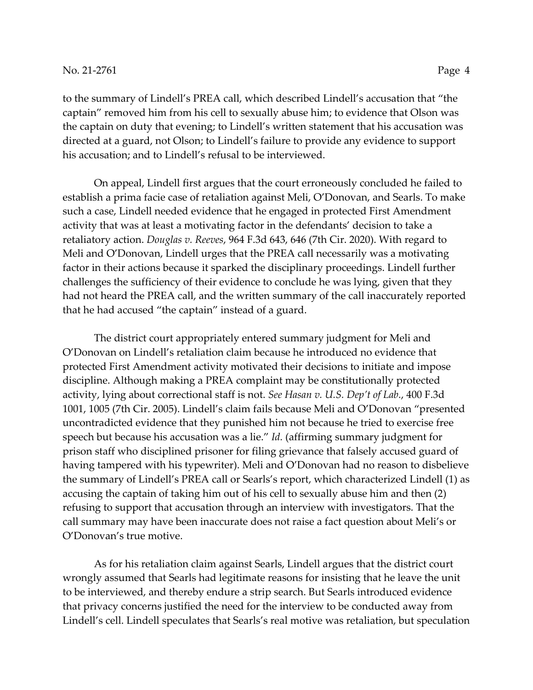to the summary of Lindell's PREA call, which described Lindell's accusation that "the captain" removed him from his cell to sexually abuse him; to evidence that Olson was the captain on duty that evening; to Lindell's written statement that his accusation was directed at a guard, not Olson; to Lindell's failure to provide any evidence to support his accusation; and to Lindell's refusal to be interviewed.

On appeal, Lindell first argues that the court erroneously concluded he failed to establish a prima facie case of retaliation against Meli, O'Donovan, and Searls. To make such a case, Lindell needed evidence that he engaged in protected First Amendment activity that was at least a motivating factor in the defendants' decision to take a retaliatory action. *Douglas v. Reeves*, 964 F.3d 643, 646 (7th Cir. 2020). With regard to Meli and O'Donovan, Lindell urges that the PREA call necessarily was a motivating factor in their actions because it sparked the disciplinary proceedings. Lindell further challenges the sufficiency of their evidence to conclude he was lying, given that they had not heard the PREA call, and the written summary of the call inaccurately reported that he had accused "the captain" instead of a guard.

The district court appropriately entered summary judgment for Meli and O'Donovan on Lindell's retaliation claim because he introduced no evidence that protected First Amendment activity motivated their decisions to initiate and impose discipline. Although making a PREA complaint may be constitutionally protected activity, lying about correctional staff is not. *See Hasan v. U.S. Dep't of Lab.*, 400 F.3d 1001, 1005 (7th Cir. 2005). Lindell's claim fails because Meli and O'Donovan "presented uncontradicted evidence that they punished him not because he tried to exercise free speech but because his accusation was a lie." *Id.* (affirming summary judgment for prison staff who disciplined prisoner for filing grievance that falsely accused guard of having tampered with his typewriter). Meli and O'Donovan had no reason to disbelieve the summary of Lindell's PREA call or Searls's report, which characterized Lindell (1) as accusing the captain of taking him out of his cell to sexually abuse him and then (2) refusing to support that accusation through an interview with investigators. That the call summary may have been inaccurate does not raise a fact question about Meli's or O'Donovan's true motive.

As for his retaliation claim against Searls, Lindell argues that the district court wrongly assumed that Searls had legitimate reasons for insisting that he leave the unit to be interviewed, and thereby endure a strip search. But Searls introduced evidence that privacy concerns justified the need for the interview to be conducted away from Lindell's cell. Lindell speculates that Searls's real motive was retaliation, but speculation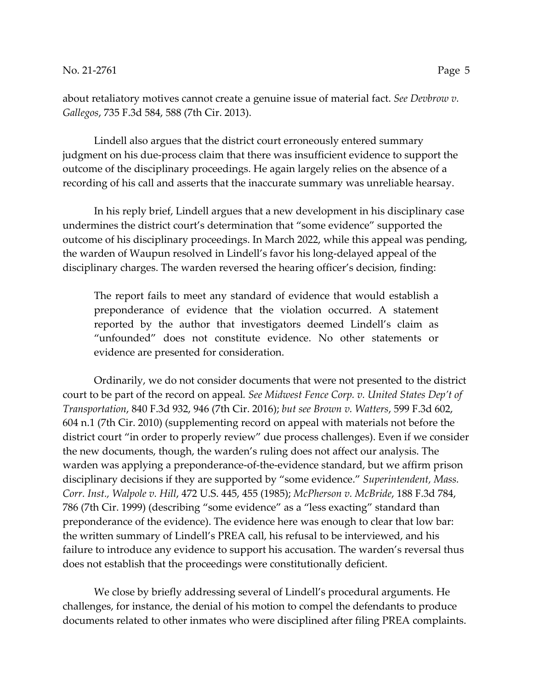Lindell also argues that the district court erroneously entered summary judgment on his due-process claim that there was insufficient evidence to support the outcome of the disciplinary proceedings. He again largely relies on the absence of a recording of his call and asserts that the inaccurate summary was unreliable hearsay.

In his reply brief, Lindell argues that a new development in his disciplinary case undermines the district court's determination that "some evidence" supported the outcome of his disciplinary proceedings. In March 2022, while this appeal was pending, the warden of Waupun resolved in Lindell's favor his long-delayed appeal of the disciplinary charges. The warden reversed the hearing officer's decision, finding:

The report fails to meet any standard of evidence that would establish a preponderance of evidence that the violation occurred. A statement reported by the author that investigators deemed Lindell's claim as "unfounded" does not constitute evidence. No other statements or evidence are presented for consideration.

Ordinarily, we do not consider documents that were not presented to the district court to be part of the record on appeal*. See Midwest Fence Corp. v. United States Dep't of Transportation*, 840 F.3d 932, 946 (7th Cir. 2016); *but see Brown v. Watters*, 599 F.3d 602, 604 n.1 (7th Cir. 2010) (supplementing record on appeal with materials not before the district court "in order to properly review" due process challenges). Even if we consider the new documents, though, the warden's ruling does not affect our analysis. The warden was applying a preponderance-of-the-evidence standard, but we affirm prison disciplinary decisions if they are supported by "some evidence." *Superintendent, Mass. Corr. Inst., Walpole v. Hill*, 472 U.S. 445, 455 (1985); *McPherson v. McBride*, 188 F.3d 784, 786 (7th Cir. 1999) (describing "some evidence" as a "less exacting" standard than preponderance of the evidence). The evidence here was enough to clear that low bar: the written summary of Lindell's PREA call, his refusal to be interviewed, and his failure to introduce any evidence to support his accusation. The warden's reversal thus does not establish that the proceedings were constitutionally deficient.

We close by briefly addressing several of Lindell's procedural arguments. He challenges, for instance, the denial of his motion to compel the defendants to produce documents related to other inmates who were disciplined after filing PREA complaints.